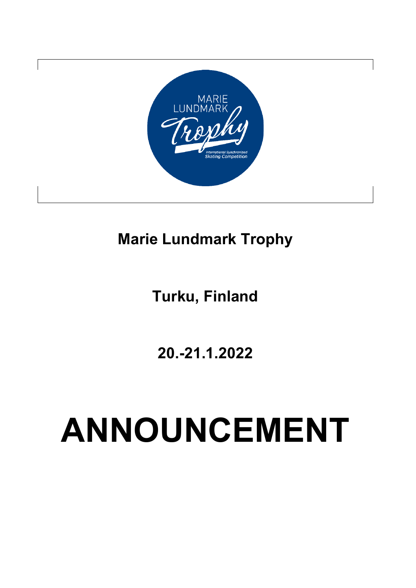

# **Marie Lundmark Trophy**

# **Turku, Finland**

**20.-21.1.2022**

# **ANNOUNCEMENT**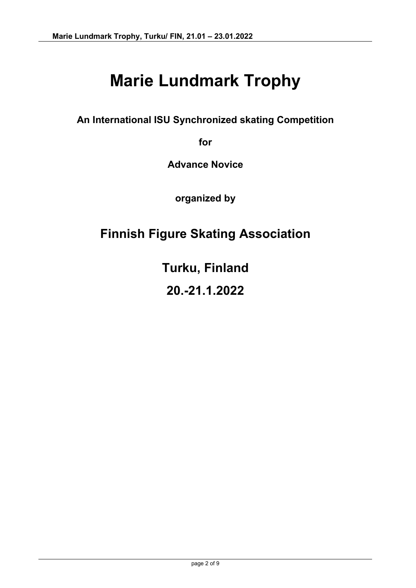# **Marie Lundmark Trophy**

**An International ISU Synchronized skating Competition** 

**for** 

**Advance Novice**

**organized by**

# **Finnish Figure Skating Association**

**Turku, Finland**

**20.-21.1.2022**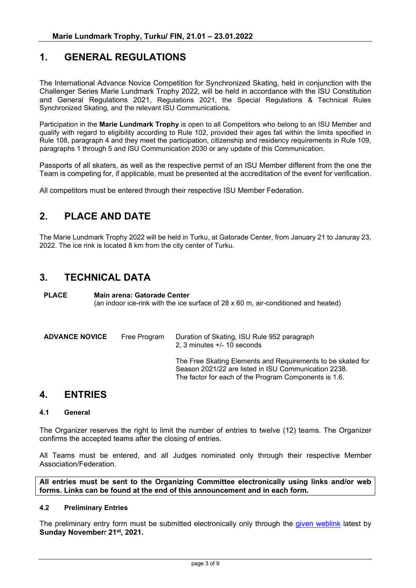#### **1. GENERAL REGULATIONS**

The International Advance Novice Competition for Synchronized Skating, held in conjunction with the Challenger Series Marie Lundmark Trophy 2022, will be held in accordance with the ISU Constitution and General Regulations 2021, Regulations 2021, the Special Regulations & Technical Rules Synchronized Skating, and the relevant ISU Communications.

Participation in the **Marie Lundmark Trophy** is open to all Competitors who belong to an ISU Member and qualify with regard to eligibility according to Rule 102, provided their ages fall within the limits specified in Rule 108, paragraph 4 and they meet the participation, citizenship and residency requirements in Rule 109, paragraphs 1 through 5 and ISU Communication 2030 or any update of this Communication.

Passports of all skaters, as well as the respective permit of an ISU Member different from the one the Team is competing for, if applicable, must be presented at the accreditation of the event for verification.

All competitors must be entered through their respective ISU Member Federation.

## **2. PLACE AND DATE**

The Marie Lundmark Trophy 2022 will be held in Turku, at Gatorade Center, from January 21 to Januray 23, 2022. The ice rink is located 8 km from the city center of Turku.

#### **3. TECHNICAL DATA**

**PLACE Main arena: Gatorade Center** (an indoor ice-rink with the ice surface of 28 x 60 m, air-conditioned and heated)

| <b>ADVANCE NOVICE</b> | Free Program | Duration of Skating, ISU Rule 952 paragraph<br>2, 3 minutes $+/- 10$ seconds                                                                                                 |
|-----------------------|--------------|------------------------------------------------------------------------------------------------------------------------------------------------------------------------------|
|                       |              | The Free Skating Elements and Requirements to be skated for<br>Season 2021/22 are listed in ISU Communication 2238.<br>The factor for each of the Program Components is 1.6. |

# **4. ENTRIES**

#### **4.1 General**

The Organizer reserves the right to limit the number of entries to twelve (12) teams. The Organizer confirms the accepted teams after the closing of entries.

All Teams must be entered, and all Judges nominated only through their respective Member Association/Federation.

**All entries must be sent to the Organizing Committee electronically using links and/or web forms. Links can be found at the end of this announcement and in each form.**

#### **4.2 Preliminary Entries**

The preliminary entry form must be submitted electronically only through the [given weblink](https://www.lyyti.fi/reg/MLT2021_Preliminary_Entry_7591) latest by **Sunday November**r **21st, 2021.**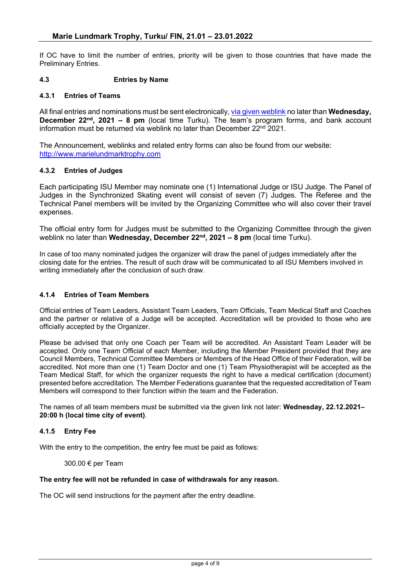If OC have to limit the number of entries, priority will be given to those countries that have made the Preliminary Entries.

#### **4.3 Entries by Name**

#### **4.3.1 Entries of Teams**

All final entries and nominations must be sent electronically, [via given weblink](https://www.lyyti.fi/reg/MLT2021_AN_Entry_form_6310) no later than **Wednesday, December 22nd, 2021 – 8 pm** (local time Turku). The team's program forms, and bank account information must be returned via weblink no later than December 22<sup>nd</sup> 2021.

The Announcement, weblinks and related entry forms can also be found from our website: [http://www.marielundmarktrophy.com](http://www.marielundmarktrophy.com/)

#### **4.3.2 Entries of Judges**

Each participating ISU Member may nominate one (1) International Judge or ISU Judge. The Panel of Judges in the Synchronized Skating event will consist of seven (7) Judges. The Referee and the Technical Panel members will be invited by the Organizing Committee who will also cover their travel expenses.

The official entry form for Judges must be submitted to the Organizing Committee through the given weblink no later than **Wednesday, December 22nd, 2021 – 8 pm** (local time Turku).

In case of too many nominated judges the organizer will draw the panel of judges immediately after the closing date for the entries. The result of such draw will be communicated to all ISU Members involved in writing immediately after the conclusion of such draw.

#### **4.1.4 Entries of Team Members**

Official entries of Team Leaders, Assistant Team Leaders, Team Officials, Team Medical Staff and Coaches and the partner or relative of a Judge will be accepted. Accreditation will be provided to those who are officially accepted by the Organizer.

Please be advised that only one Coach per Team will be accredited. An Assistant Team Leader will be accepted. Only one Team Official of each Member, including the Member President provided that they are Council Members, Technical Committee Members or Members of the Head Office of their Federation, will be accredited. Not more than one (1) Team Doctor and one (1) Team Physiotherapist will be accepted as the Team Medical Staff, for which the organizer requests the right to have a medical certification (document) presented before accreditation. The Member Federations guarantee that the requested accreditation of Team Members will correspond to their function within the team and the Federation.

The names of all team members must be submitted via the given link not later: **Wednesday, 22.12.2021– 20:00 h (local time city of event)**.

#### **4.1.5 Entry Fee**

With the entry to the competition, the entry fee must be paid as follows:

300.00 € per Team

#### **The entry fee will not be refunded in case of withdrawals for any reason.**

The OC will send instructions for the payment after the entry deadline.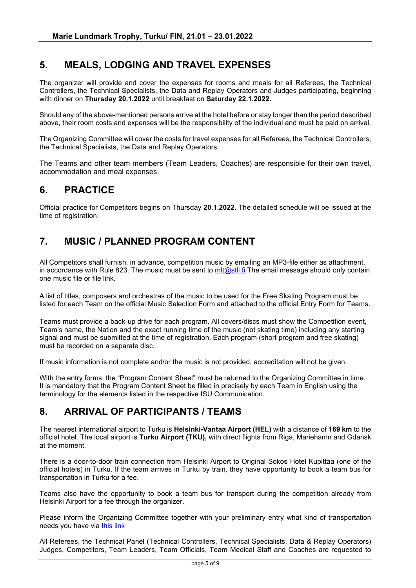## **5. MEALS, LODGING AND TRAVEL EXPENSES**

The organizer will provide and cover the expenses for rooms and meals for all Referees, the Technical Controllers, the Technical Specialists, the Data and Replay Operators and Judges participating, beginning with dinner on **Thursday 20.1.2022** until breakfast on **Saturday 22.1.2022.**

Should any of the above-mentioned persons arrive at the hotel before or stay longer than the period described above, their room costs and expenses will be the responsibility of the individual and must be paid on arrival.

The Organizing Committee will cover the costs for travel expenses for all Referees, the Technical Controllers, the Technical Specialists, the Data and Replay Operators.

The Teams and other team members (Team Leaders, Coaches) are responsible for their own travel, accommodation and meal expenses.

## **6. PRACTICE**

Official practice for Competitors begins on Thursday **20.1.2022.** The detailed schedule will be issued at the time of registration.

## **7. MUSIC / PLANNED PROGRAM CONTENT**

All Competitors shall furnish, in advance, competition music by emailing an MP3-file either as attachment, in accordance with Rule 823. The music must be sent to  $\frac{m}{a}$ stll.fi The email message should only contain one music file or file link.

A list of titles, composers and orchestras of the music to be used for the Free Skating Program must be listed for each Team on the official Music Selection Form and attached to the official Entry Form for Teams.

Teams must provide a back-up drive for each program. All covers/discs must show the Competition event, Team's name, the Nation and the exact running time of the music (not skating time) including any starting signal and must be submitted at the time of registration. Each program (short program and free skating) must be recorded on a separate disc.

If music information is not complete and/or the music is not provided, accreditation will not be given.

With the entry forms, the "Program Content Sheet" must be returned to the Organizing Committee in time. It is mandatory that the Program Content Sheet be filled in precisely by each Team in English using the terminology for the elements listed in the respective ISU Communication.

## **8. ARRIVAL OF PARTICIPANTS / TEAMS**

The nearest international airport to Turku is **Helsinki-Vantaa Airport (HEL)** with a distance of **169 km** to the official hotel. The local airport is **Turku Airport (TKU),** with direct flights from Riga, Mariehamn and Gdansk at the moment.

There is a door-to-door train connection from Helsinki Airport to Original Sokos Hotel Kupittaa (one of the official hotels) in Turku. If the team arrives in Turku by train, they have opportunity to book a team bus for transportation in Turku for a fee.

Teams also have the opportunity to book a team bus for transport during the competition already from Helsinki Airport for a fee through the organizer.

Please inform the Organizing Committee together with your preliminary entry what kind of transportation needs you have via [this link](https://www.lyyti.fi/reg/MLT_2022_AN_Preliminary_Entry_for_Transportation_and_accommodation_6467)

All Referees, the Technical Panel (Technical Controllers, Technical Specialists, Data & Replay Operators) Judges, Competitors, Team Leaders, Team Officials, Team Medical Staff and Coaches are requested to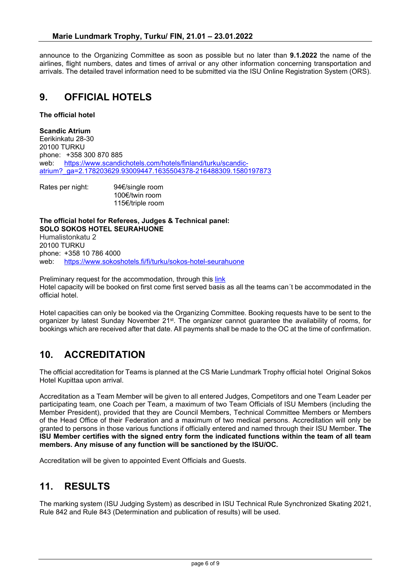announce to the Organizing Committee as soon as possible but no later than **9.1.2022** the name of the airlines, flight numbers, dates and times of arrival or any other information concerning transportation and arrivals. The detailed travel information need to be submitted via the ISU Online Registration System (ORS).

## **9. OFFICIAL HOTELS**

#### **The official hotel**

**Scandic Atrium** Eerikinkatu 28-30 20100 TURKU phone: +358 300 870 885 web: [https://www.scandichotels.com/hotels/finland/turku/scandic](https://www.scandichotels.com/hotels/finland/turku/scandic-atrium?_ga=2.178203629.93009447.1635504378-216488309.1580197873)[atrium?\\_ga=2.178203629.93009447.1635504378-216488309.1580197873](https://www.scandichotels.com/hotels/finland/turku/scandic-atrium?_ga=2.178203629.93009447.1635504378-216488309.1580197873)

Rates per night: 94€/single room 100€/twin room 115€/triple room

**The official hotel for Referees, Judges & Technical panel: SOLO SOKOS HOTEL SEURAHUONE** Humalistonkatu 2

20100 TURKU phone: +358 10 786 4000 web: [https://www.sokoshotels.fi/fi/turku/sokos-hotel-seurahuone](https://www.sokoshotels.fi/fi/turku/original-sokos-hotel-seurahuone)

Preliminary request for the accommodation, through this [link](https://www.lyyti.fi/reg/MLT_2022_AN_Preliminary_Entry_for_Transportation_and_accommodation_6467) Hotel capacity will be booked on first come first served basis as all the teams can´t be accommodated in the official hotel.

Hotel capacities can only be booked via the Organizing Committee. Booking requests have to be sent to the organizer by latest Sunday November 21st. The organizer cannot guarantee the availability of rooms, for bookings which are received after that date. All payments shall be made to the OC at the time of confirmation.

# **10. ACCREDITATION**

The official accreditation for Teams is planned at the CS Marie Lundmark Trophy official hotel Original Sokos Hotel Kupittaa upon arrival.

Accreditation as a Team Member will be given to all entered Judges, Competitors and one Team Leader per participating team, one Coach per Team, a maximum of two Team Officials of ISU Members (including the Member President), provided that they are Council Members, Technical Committee Members or Members of the Head Office of their Federation and a maximum of two medical persons. Accreditation will only be granted to persons in those various functions if officially entered and named through their ISU Member. **The ISU Member certifies with the signed entry form the indicated functions within the team of all team members. Any misuse of any function will be sanctioned by the ISU/OC.**

Accreditation will be given to appointed Event Officials and Guests.

#### **11. RESULTS**

The marking system (ISU Judging System) as described in ISU Technical Rule Synchronized Skating 2021, Rule 842 and Rule 843 (Determination and publication of results) will be used.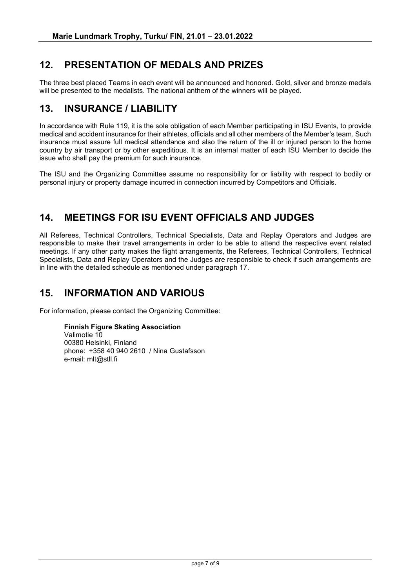# **12. PRESENTATION OF MEDALS AND PRIZES**

The three best placed Teams in each event will be announced and honored. Gold, silver and bronze medals will be presented to the medalists. The national anthem of the winners will be played.

## **13. INSURANCE / LIABILITY**

In accordance with Rule 119, it is the sole obligation of each Member participating in ISU Events, to provide medical and accident insurance for their athletes, officials and all other members of the Member's team. Such insurance must assure full medical attendance and also the return of the ill or injured person to the home country by air transport or by other expeditious. It is an internal matter of each ISU Member to decide the issue who shall pay the premium for such insurance.

The ISU and the Organizing Committee assume no responsibility for or liability with respect to bodily or personal injury or property damage incurred in connection incurred by Competitors and Officials.

# **14. MEETINGS FOR ISU EVENT OFFICIALS AND JUDGES**

All Referees, Technical Controllers, Technical Specialists, Data and Replay Operators and Judges are responsible to make their travel arrangements in order to be able to attend the respective event related meetings. If any other party makes the flight arrangements, the Referees, Technical Controllers, Technical Specialists, Data and Replay Operators and the Judges are responsible to check if such arrangements are in line with the detailed schedule as mentioned under paragraph 17.

#### **15. INFORMATION AND VARIOUS**

For information, please contact the Organizing Committee:

#### **Finnish Figure Skating Association**

Valimotie 10 00380 Helsinki, Finland phone: +358 40 940 2610 / Nina Gustafsson e-mail: mlt@stll.fi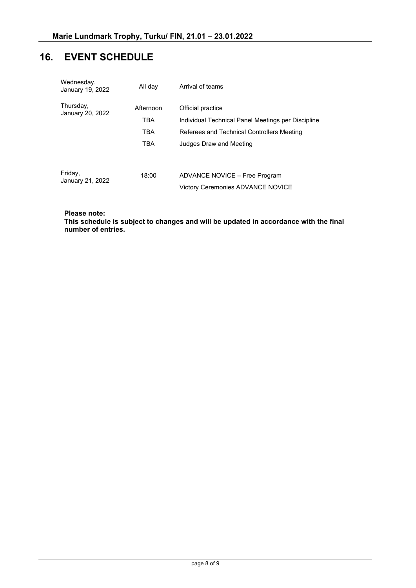# **16. EVENT SCHEDULE**

| Wednesday,<br>January 19, 2022 | All day                                             | Arrival of teams                                                                                                                                 |  |
|--------------------------------|-----------------------------------------------------|--------------------------------------------------------------------------------------------------------------------------------------------------|--|
| Thursday,<br>January 20, 2022  | Afternoon<br><b>TBA</b><br><b>TBA</b><br><b>TRA</b> | Official practice<br>Individual Technical Panel Meetings per Discipline<br>Referees and Technical Controllers Meeting<br>Judges Draw and Meeting |  |
| Friday,<br>January 21, 2022    | 18:00                                               | ADVANCE NOVICE - Free Program<br><b>Victory Ceremonies ADVANCE NOVICE</b>                                                                        |  |

#### **Please note:**

**This schedule is subject to changes and will be updated in accordance with the final number of entries.**